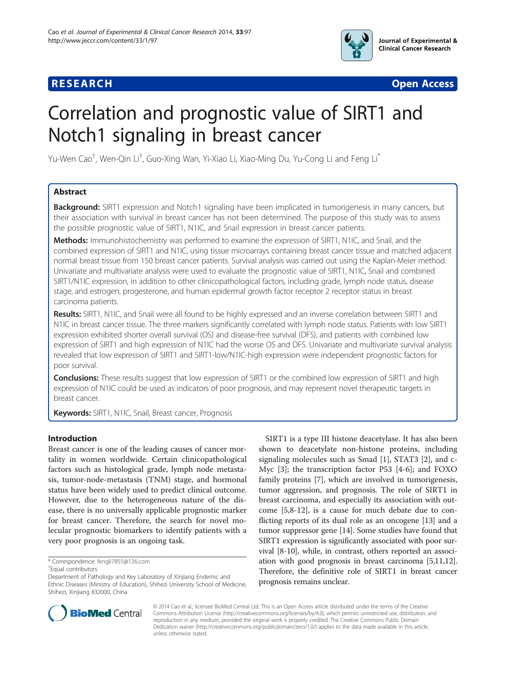



# Correlation and prognostic value of SIRT1 and Notch1 signaling in breast cancer

Yu-Wen Cao<sup>†</sup>, Wen-Qin Li<sup>†</sup>, Guo-Xing Wan, Yi-Xiao Li, Xiao-Ming Du, Yu-Cong Li and Feng Li<sup>\*</sup>

# Abstract

**Background:** SIRT1 expression and Notch1 signaling have been implicated in tumorigenesis in many cancers, but their association with survival in breast cancer has not been determined. The purpose of this study was to assess the possible prognostic value of SIRT1, N1IC, and Snail expression in breast cancer patients.

Methods: Immunohistochemistry was performed to examine the expression of SIRT1, N1IC, and Snail, and the combined expression of SIRT1 and N1IC, using tissue microarrays containing breast cancer tissue and matched adjacent normal breast tissue from 150 breast cancer patients. Survival analysis was carried out using the Kaplan-Meier method. Univariate and multivariate analysis were used to evaluate the prognostic value of SIRT1, N1IC, Snail and combined SIRT1/N1IC expression, in addition to other clinicopathological factors, including grade, lymph node status, disease stage, and estrogen, progesterone, and human epidermal growth factor receptor 2 receptor status in breast carcinoma patients.

Results: SIRT1, N1IC, and Snail were all found to be highly expressed and an inverse correlation between SIRT1 and N1IC in breast cancer tissue. The three markers significantly correlated with lymph node status. Patients with low SIRT1 expression exhibited shorter overall survival (OS) and disease-free survival (DFS), and patients with combined low expression of SIRT1 and high expression of N1IC had the worse OS and DFS. Univariate and multivariate survival analysis revealed that low expression of SIRT1 and SIRT1-low/N1IC-high expression were independent prognostic factors for poor survival.

Conclusions: These results suggest that low expression of SIRT1 or the combined low expression of SIRT1 and high expression of N1IC could be used as indicators of poor prognosis, and may represent novel therapeutic targets in breast cancer.

Keywords: SIRT1, N1IC, Snail, Breast cancer, Prognosis

# Introduction

Breast cancer is one of the leading causes of cancer mortality in women worldwide. Certain clinicopathological factors such as histological grade, lymph node metastasis, tumor-node-metastasis (TNM) stage, and hormonal status have been widely used to predict clinical outcome. However, due to the heterogeneous nature of the disease, there is no universally applicable prognostic marker for breast cancer. Therefore, the search for novel molecular prognostic biomarkers to identify patients with a very poor prognosis is an ongoing task.

SIRT1 is a type III histone deacetylase. It has also been shown to deacetylate non-histone proteins, including signaling molecules such as Smad [[1\]](#page-9-0), STAT3 [\[2\]](#page-9-0), and c-Myc [\[3\]](#page-9-0); the transcription factor P53 [\[4-6\]](#page-9-0); and FOXO family proteins [[7\]](#page-9-0), which are involved in tumorigenesis, tumor aggression, and prognosis. The role of SIRT1 in breast carcinoma, and especially its association with outcome [\[5,8](#page-9-0)-[12](#page-10-0)], is a cause for much debate due to conflicting reports of its dual role as an oncogene [\[13](#page-10-0)] and a tumor suppressor gene [[14](#page-10-0)]. Some studies have found that SIRT1 expression is significantly associated with poor survival [\[8](#page-9-0)-[10](#page-9-0)], while, in contrast, others reported an association with good prognosis in breast carcinoma [\[5,11,](#page-9-0)[12](#page-10-0)]. Therefore, the definitive role of SIRT1 in breast cancer prognosis remains unclear.



© 2014 Cao et al.; licensee BioMed Central Ltd. This is an Open Access article distributed under the terms of the Creative Commons Attribution License [\(http://creativecommons.org/licenses/by/4.0\)](http://creativecommons.org/licenses/by/4.0), which permits unrestricted use, distribution, and reproduction in any medium, provided the original work is properly credited. The Creative Commons Public Domain Dedication waiver [\(http://creativecommons.org/publicdomain/zero/1.0/](http://creativecommons.org/publicdomain/zero/1.0/)) applies to the data made available in this article, unless otherwise stated.

<sup>\*</sup> Correspondence: [fengli7855@126.com](mailto:fengli7855@126.com) †

Equal contributors

Department of Pathology and Key Laboratory of Xinjiang Endemic and Ethnic Diseases (Ministry of Education), Shihezi University School of Medicine, Shihezi, Xinjiang 832000, China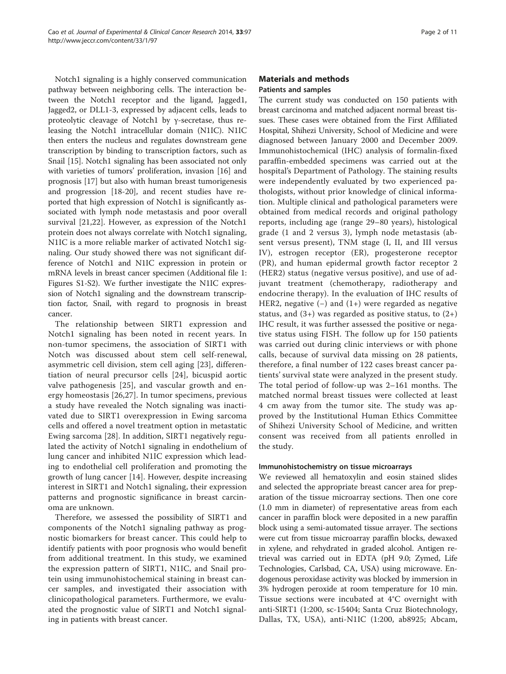Notch1 signaling is a highly conserved communication pathway between neighboring cells. The interaction between the Notch1 receptor and the ligand, Jagged1, Jagged2, or DLL1-3, expressed by adjacent cells, leads to proteolytic cleavage of Notch1 by γ-secretase, thus releasing the Notch1 intracellular domain (N1IC). N1IC then enters the nucleus and regulates downstream gene transcription by binding to transcription factors, such as Snail [[15\]](#page-10-0). Notch1 signaling has been associated not only with varieties of tumors' proliferation, invasion [[16\]](#page-10-0) and prognosis [\[17](#page-10-0)] but also with human breast tumorigenesis and progression [[18-20](#page-10-0)], and recent studies have reported that high expression of Notch1 is significantly associated with lymph node metastasis and poor overall survival [\[21,22](#page-10-0)]. However, as expression of the Notch1 protein does not always correlate with Notch1 signaling, N1IC is a more reliable marker of activated Notch1 signaling. Our study showed there was not significant difference of Notch1 and N1IC expression in protein or mRNA levels in breast cancer specimen (Additional file [1](#page-9-0): Figures S1-S2). We further investigate the N1IC expression of Notch1 signaling and the downstream transcription factor, Snail, with regard to prognosis in breast cancer.

The relationship between SIRT1 expression and Notch1 signaling has been noted in recent years. In non-tumor specimens, the association of SIRT1 with Notch was discussed about stem cell self-renewal, asymmetric cell division, stem cell aging [\[23](#page-10-0)], differentiation of neural precursor cells [[24\]](#page-10-0), bicuspid aortic valve pathogenesis [[25](#page-10-0)], and vascular growth and energy homeostasis [[26,27](#page-10-0)]. In tumor specimens, previous a study have revealed the Notch signaling was inactivated due to SIRT1 overexpression in Ewing sarcoma cells and offered a novel treatment option in metastatic Ewing sarcoma [[28](#page-10-0)]. In addition, SIRT1 negatively regulated the activity of Notch1 signaling in endothelium of lung cancer and inhibited N1IC expression which leading to endothelial cell proliferation and promoting the growth of lung cancer [\[14](#page-10-0)]. However, despite increasing interest in SIRT1 and Notch1 signaling, their expression patterns and prognostic significance in breast carcinoma are unknown.

Therefore, we assessed the possibility of SIRT1 and components of the Notch1 signaling pathway as prognostic biomarkers for breast cancer. This could help to identify patients with poor prognosis who would benefit from additional treatment. In this study, we examined the expression pattern of SIRT1, N1IC, and Snail protein using immunohistochemical staining in breast cancer samples, and investigated their association with clinicopathological parameters. Furthermore, we evaluated the prognostic value of SIRT1 and Notch1 signaling in patients with breast cancer.

# Materials and methods Patients and samples

The current study was conducted on 150 patients with breast carcinoma and matched adjacent normal breast tissues. These cases were obtained from the First Affiliated Hospital, Shihezi University, School of Medicine and were diagnosed between January 2000 and December 2009. Immunohistochemical (IHC) analysis of formalin-fixed paraffin-embedded specimens was carried out at the hospital's Department of Pathology. The staining results were independently evaluated by two experienced pathologists, without prior knowledge of clinical information. Multiple clinical and pathological parameters were obtained from medical records and original pathology reports, including age (range 29–80 years), histological grade (1 and 2 versus 3), lymph node metastasis (absent versus present), TNM stage (I, II, and III versus IV), estrogen receptor (ER), progesterone receptor (PR), and human epidermal growth factor receptor 2 (HER2) status (negative versus positive), and use of adjuvant treatment (chemotherapy, radiotherapy and endocrine therapy). In the evaluation of IHC results of HER2, negative  $(-)$  and  $(1+)$  were regarded as negative status, and  $(3+)$  was regarded as positive status, to  $(2+)$ IHC result, it was further assessed the positive or negative status using FISH. The follow up for 150 patients was carried out during clinic interviews or with phone calls, because of survival data missing on 28 patients, therefore, a final number of 122 cases breast cancer patients' survival state were analyzed in the present study. The total period of follow-up was 2–161 months. The matched normal breast tissues were collected at least 4 cm away from the tumor site. The study was approved by the Institutional Human Ethics Committee of Shihezi University School of Medicine, and written consent was received from all patients enrolled in the study.

# Immunohistochemistry on tissue microarrays

We reviewed all hematoxylin and eosin stained slides and selected the appropriate breast cancer area for preparation of the tissue microarray sections. Then one core (1.0 mm in diameter) of representative areas from each cancer in paraffin block were deposited in a new paraffin block using a semi-automated tissue arrayer. The sections were cut from tissue microarray paraffin blocks, dewaxed in xylene, and rehydrated in graded alcohol. Antigen retrieval was carried out in EDTA (pH 9.0; Zymed, Life Technologies, Carlsbad, CA, USA) using microwave. Endogenous peroxidase activity was blocked by immersion in 3% hydrogen peroxide at room temperature for 10 min. Tissue sections were incubated at 4°C overnight with anti-SIRT1 (1:200, sc-15404; Santa Cruz Biotechnology, Dallas, TX, USA), anti-N1IC (1:200, ab8925; Abcam,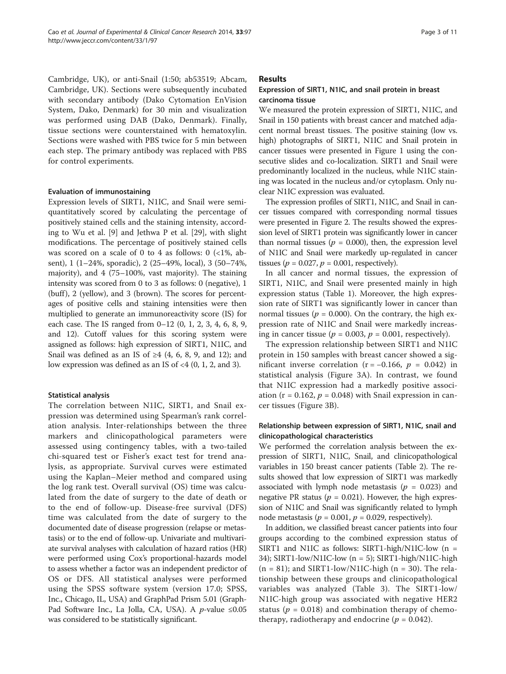Cambridge, UK), or anti-Snail (1:50; ab53519; Abcam, Cambridge, UK). Sections were subsequently incubated with secondary antibody (Dako Cytomation EnVision System, Dako, Denmark) for 30 min and visualization was performed using DAB (Dako, Denmark). Finally, tissue sections were counterstained with hematoxylin. Sections were washed with PBS twice for 5 min between each step. The primary antibody was replaced with PBS for control experiments.

#### Evaluation of immunostaining

Expression levels of SIRT1, N1IC, and Snail were semiquantitatively scored by calculating the percentage of positively stained cells and the staining intensity, according to Wu et al. [[9\]](#page-9-0) and Jethwa P et al. [\[29](#page-10-0)], with slight modifications. The percentage of positively stained cells was scored on a scale of 0 to 4 as follows:  $0$  (<1%, absent), 1 (1–24%, sporadic), 2 (25–49%, local), 3 (50–74%, majority), and 4 (75–100%, vast majority). The staining intensity was scored from 0 to 3 as follows: 0 (negative), 1  $(buff)$ , 2 (yellow), and 3 (brown). The scores for percentages of positive cells and staining intensities were then multiplied to generate an immunoreactivity score (IS) for each case. The IS ranged from 0–12 (0, 1, 2, 3, 4, 6, 8, 9, and 12). Cutoff values for this scoring system were assigned as follows: high expression of SIRT1, N1IC, and Snail was defined as an IS of  $\geq 4$  (4, 6, 8, 9, and 12); and low expression was defined as an IS of  $<4$  (0, 1, 2, and 3).

#### Statistical analysis

The correlation between N1IC, SIRT1, and Snail expression was determined using Spearman's rank correlation analysis. Inter-relationships between the three markers and clinicopathological parameters were assessed using contingency tables, with a two-tailed chi-squared test or Fisher's exact test for trend analysis, as appropriate. Survival curves were estimated using the Kaplan–Meier method and compared using the log rank test. Overall survival (OS) time was calculated from the date of surgery to the date of death or to the end of follow-up. Disease-free survival (DFS) time was calculated from the date of surgery to the documented date of disease progression (relapse or metastasis) or to the end of follow-up. Univariate and multivariate survival analyses with calculation of hazard ratios (HR) were performed using Cox's proportional-hazards model to assess whether a factor was an independent predictor of OS or DFS. All statistical analyses were performed using the SPSS software system (version 17.0; SPSS, Inc., Chicago, IL, USA) and GraphPad Prism 5.01 (Graph-Pad Software Inc., La Jolla, CA, USA). A *p*-value ≤0.05 was considered to be statistically significant.

**Results** 

# Expression of SIRT1, N1IC, and snail protein in breast carcinoma tissue

We measured the protein expression of SIRT1, N1IC, and Snail in 150 patients with breast cancer and matched adjacent normal breast tissues. The positive staining (low vs. high) photographs of SIRT1, N1IC and Snail protein in cancer tissues were presented in Figure [1](#page-3-0) using the consecutive slides and co-localization. SIRT1 and Snail were predominantly localized in the nucleus, while N1IC staining was located in the nucleus and/or cytoplasm. Only nuclear N1IC expression was evaluated.

The expression profiles of SIRT1, N1IC, and Snail in cancer tissues compared with corresponding normal tissues were presented in Figure [2](#page-3-0). The results showed the expression level of SIRT1 protein was significantly lower in cancer than normal tissues ( $p = 0.000$ ), then, the expression level of N1IC and Snail were markedly up-regulated in cancer tissues ( $p = 0.027$ ,  $p = 0.001$ , respectively).

In all cancer and normal tissues, the expression of SIRT1, N1IC, and Snail were presented mainly in high expression status (Table [1](#page-4-0)). Moreover, the high expression rate of SIRT1 was significantly lower in cancer than normal tissues ( $p = 0.000$ ). On the contrary, the high expression rate of N1IC and Snail were markedly increasing in cancer tissue ( $p = 0.003$ ,  $p = 0.001$ , respectively).

The expression relationship between SIRT1 and N1IC protein in 150 samples with breast cancer showed a significant inverse correlation ( $r = -0.166$ ,  $p = 0.042$ ) in statistical analysis (Figure [3](#page-4-0)A). In contrast, we found that N1IC expression had a markedly positive association ( $r = 0.162$ ,  $p = 0.048$ ) with Snail expression in cancer tissues (Figure [3B](#page-4-0)).

### Relationship between expression of SIRT1, N1IC, snail and clinicopathological characteristics

We performed the correlation analysis between the expression of SIRT1, N1IC, Snail, and clinicopathological variables in 150 breast cancer patients (Table [2\)](#page-5-0). The results showed that low expression of SIRT1 was markedly associated with lymph node metastasis ( $p = 0.023$ ) and negative PR status ( $p = 0.021$ ). However, the high expression of N1IC and Snail was significantly related to lymph node metastasis ( $p = 0.001$ ,  $p = 0.029$ , respectively).

In addition, we classified breast cancer patients into four groups according to the combined expression status of SIRT1 and N1IC as follows: SIRT1-high/N1IC-low (n = 34); SIRT1-low/N1IC-low (n = 5); SIRT1-high/N1IC-high  $(n = 81)$ ; and SIRT1-low/N1IC-high  $(n = 30)$ . The relationship between these groups and clinicopathological variables was analyzed (Table [3](#page-6-0)). The SIRT1-low/ N1IC-high group was associated with negative HER2 status ( $p = 0.018$ ) and combination therapy of chemotherapy, radiotherapy and endocrine ( $p = 0.042$ ).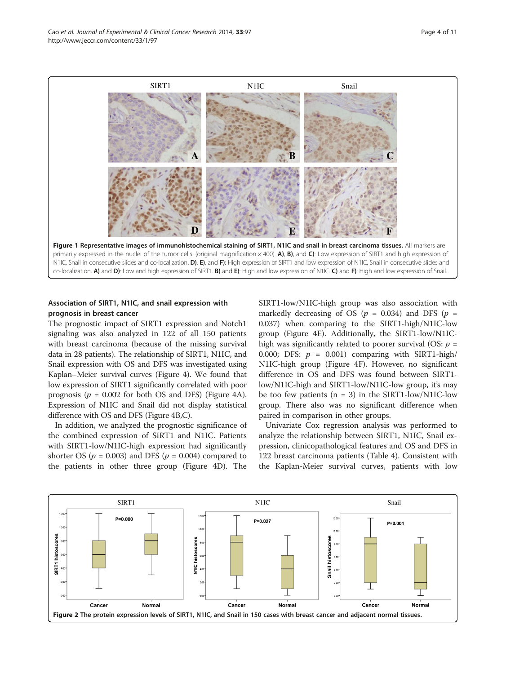<span id="page-3-0"></span>

primarily expressed in the nuclei of the tumor cells. (original magnification  $\times$  400). A), B), and C): Low expression of SIRT1 and high expression of N1IC, Snail in consecutive slides and co-localization. D), E), and F): High expression of SIRT1 and low expression of N1IC, Snail in consecutive slides and co-localization. A) and D): Low and high expression of SIRT1. B) and E): High and low expression of N1IC. C) and F): High and low expression of Snail.

# Association of SIRT1, N1IC, and snail expression with prognosis in breast cancer

The prognostic impact of SIRT1 expression and Notch1 signaling was also analyzed in 122 of all 150 patients with breast carcinoma (because of the missing survival data in 28 patients). The relationship of SIRT1, N1IC, and Snail expression with OS and DFS was investigated using Kaplan–Meier survival curves (Figure [4](#page-7-0)). We found that low expression of SIRT1 significantly correlated with poor prognosis ( $p = 0.002$  for both OS and DFS) (Figure [4](#page-7-0)A). Expression of N1IC and Snail did not display statistical difference with OS and DFS (Figure [4](#page-7-0)B,C).

In addition, we analyzed the prognostic significance of the combined expression of SIRT1 and N1IC. Patients with SIRT1-low/N1IC-high expression had significantly shorter OS ( $p = 0.003$ ) and DFS ( $p = 0.004$ ) compared to the patients in other three group (Figure [4](#page-7-0)D). The

SIRT1-low/N1IC-high group was also association with markedly decreasing of OS ( $p = 0.034$ ) and DFS ( $p =$ 0.037) when comparing to the SIRT1-high/N1IC-low group (Figure [4](#page-7-0)E). Additionally, the SIRT1-low/N1IChigh was significantly related to poorer survival (OS:  $p =$ 0.000; DFS:  $p = 0.001$ ) comparing with SIRT1-high/ N1IC-high group (Figure [4F](#page-7-0)). However, no significant difference in OS and DFS was found between SIRT1 low/N1IC-high and SIRT1-low/N1IC-low group, it's may be too few patients  $(n = 3)$  in the SIRT1-low/N1IC-low group. There also was no significant difference when paired in comparison in other groups.

Univariate Cox regression analysis was performed to analyze the relationship between SIRT1, N1IC, Snail expression, clinicopathological features and OS and DFS in 122 breast carcinoma patients (Table [4](#page-7-0)). Consistent with the Kaplan-Meier survival curves, patients with low

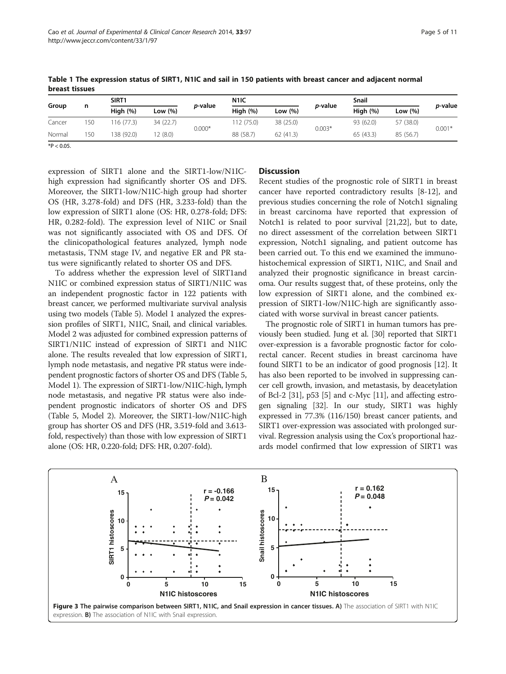| Group  | n   | SIRT <sub>1</sub> |           |                 | N <sub>1</sub> IC |            |                 | Snail      |            |                 |
|--------|-----|-------------------|-----------|-----------------|-------------------|------------|-----------------|------------|------------|-----------------|
|        |     | High $(%)$        | Low (%)   | <i>p</i> -value | High $(%)$        | Low $(\%)$ | <i>p</i> -value | High $(%)$ | Low $(\%)$ | <i>p-</i> value |
| Cancer | 150 | 116 (77.3)        | 34 (22.7) | $0.000*$        | 112 (75.0)        | 38 (25.0)  |                 | 93 (62.0)  | 57 (38.0)  | $0.001*$        |
| Normal | 150 | 138 (92.0)        | 12(8.0)   |                 | 88 (58.7)         | 62(41.3)   | $0.003*$        | 65(43.3)   | 85 (56.7)  |                 |

<span id="page-4-0"></span>Table 1 The expression status of SIRT1, N1IC and sail in 150 patients with breast cancer and adjacent normal breast tissues

 $*P < 0.05$ .

expression of SIRT1 alone and the SIRT1-low/N1IChigh expression had significantly shorter OS and DFS. Moreover, the SIRT1-low/N1IC-high group had shorter OS (HR, 3.278-fold) and DFS (HR, 3.233-fold) than the low expression of SIRT1 alone (OS: HR, 0.278-fold; DFS: HR, 0.282-fold). The expression level of N1IC or Snail was not significantly associated with OS and DFS. Of the clinicopathological features analyzed, lymph node metastasis, TNM stage IV, and negative ER and PR status were significantly related to shorter OS and DFS.

To address whether the expression level of SIRT1and N1IC or combined expression status of SIRT1/N1IC was an independent prognostic factor in 122 patients with breast cancer, we performed multivariate survival analysis using two models (Table [5](#page-8-0)). Model 1 analyzed the expression profiles of SIRT1, N1IC, Snail, and clinical variables. Model 2 was adjusted for combined expression patterns of SIRT1/N1IC instead of expression of SIRT1 and N1IC alone. The results revealed that low expression of SIRT1, lymph node metastasis, and negative PR status were independent prognostic factors of shorter OS and DFS (Table [5](#page-8-0), Model 1). The expression of SIRT1-low/N1IC-high, lymph node metastasis, and negative PR status were also independent prognostic indicators of shorter OS and DFS (Table [5](#page-8-0), Model 2). Moreover, the SIRT1-low/N1IC-high group has shorter OS and DFS (HR, 3.519-fold and 3.613 fold, respectively) than those with low expression of SIRT1 alone (OS: HR, 0.220-fold; DFS: HR, 0.207-fold).

# **Discussion**

Recent studies of the prognostic role of SIRT1 in breast cancer have reported contradictory results [[8](#page-9-0)[-12](#page-10-0)], and previous studies concerning the role of Notch1 signaling in breast carcinoma have reported that expression of Notch1 is related to poor survival [\[21,22](#page-10-0)], but to date, no direct assessment of the correlation between SIRT1 expression, Notch1 signaling, and patient outcome has been carried out. To this end we examined the immunohistochemical expression of SIRT1, N1IC, and Snail and analyzed their prognostic significance in breast carcinoma. Our results suggest that, of these proteins, only the low expression of SIRT1 alone, and the combined expression of SIRT1-low/N1IC-high are significantly associated with worse survival in breast cancer patients.

The prognostic role of SIRT1 in human tumors has previously been studied. Jung et al. [[30](#page-10-0)] reported that SIRT1 over-expression is a favorable prognostic factor for colorectal cancer. Recent studies in breast carcinoma have found SIRT1 to be an indicator of good prognosis [\[12\]](#page-10-0). It has also been reported to be involved in suppressing cancer cell growth, invasion, and metastasis, by deacetylation of Bcl-2 [[31](#page-10-0)], p53 [[5\]](#page-9-0) and c-Myc [\[11\]](#page-9-0), and affecting estrogen signaling [\[32](#page-10-0)]. In our study, SIRT1 was highly expressed in 77.3% (116/150) breast cancer patients, and SIRT1 over-expression was associated with prolonged survival. Regression analysis using the Cox's proportional hazards model confirmed that low expression of SIRT1 was

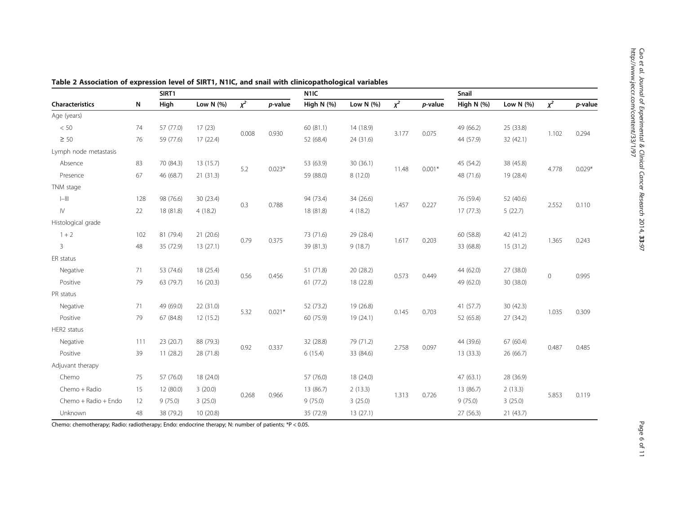.<br>27

|                                                  |     | SIRT1     |             |                  |          | N <sub>1I</sub> C |             |       |                | Snail        |              |             |            |
|--------------------------------------------------|-----|-----------|-------------|------------------|----------|-------------------|-------------|-------|----------------|--------------|--------------|-------------|------------|
| Characteristics                                  | N   | High      | Low $N$ (%) | $\overline{x^2}$ | p-value  | High $N$ (%)      | Low $N(% )$ | $x^2$ | p-value        | High $N$ (%) | Low N $(% )$ | $\chi^2$    | $p$ -value |
| Age (years)                                      |     |           |             |                  |          |                   |             |       |                |              |              |             |            |
| < 50                                             | 74  | 57 (77.0) | 17(23)      |                  |          | 60 (81.1)         | 14 (18.9)   |       |                | 49 (66.2)    | 25 (33.8)    | 1.102       |            |
| $\geq 50$                                        | 76  | 59 (77.6) | 17(22.4)    | 0.008            | 0.930    | 52 (68.4)         | 24 (31.6)   | 3.177 | 0.075          | 44 (57.9)    | 32(42.1)     |             | 0.294      |
| Lymph node metastasis                            |     |           |             |                  |          |                   |             |       |                |              |              |             |            |
| Absence                                          | 83  | 70 (84.3) | 13 (15.7)   |                  |          | 53 (63.9)         | 30(36.1)    |       |                | 45 (54.2)    | 38 (45.8)    |             |            |
| Presence                                         | 67  | 46 (68.7) | 21 (31.3)   | 5.2              | $0.023*$ | 59 (88.0)         | 8(12.0)     | 11.48 | $0.001*$       | 48 (71.6)    | 19 (28.4)    | 4.778       | $0.029*$   |
| TNM stage                                        |     |           |             |                  |          |                   |             |       |                |              |              |             |            |
| $\left\vert -\right\vert \left\vert \right\vert$ | 128 | 98 (76.6) | 30 (23.4)   |                  |          | 94 (73.4)         | 34 (26.6)   | 1.457 |                | 76 (59.4)    | 52 (40.6)    | 2.552       |            |
| $\mathsf{I}\mathsf{V}$                           | 22  | 18 (81.8) | 4(18.2)     | 0.3              | 0.788    | 18 (81.8)         | 4(18.2)     |       | 0.227          | 17(77.3)     | 5(22.7)      |             | 0.110      |
| Histological grade                               |     |           |             |                  |          |                   |             |       |                |              |              |             |            |
| $1 + 2$                                          | 102 | 81 (79.4) | 21(20.6)    |                  | 0.375    | 73 (71.6)         | 29 (28.4)   |       | 0.203<br>1.617 | 60 (58.8)    | 42 (41.2)    | 1.365       | 0.243      |
| $\overline{3}$                                   | 48  | 35 (72.9) | 13(27.1)    | 0.79             |          | 39 (81.3)         | 9(18.7)     |       |                | 33 (68.8)    | 15(31.2)     |             |            |
| ER status                                        |     |           |             |                  |          |                   |             |       |                |              |              |             |            |
| Negative                                         | 71  | 53 (74.6) | 18 (25.4)   |                  | 0.456    | 51 (71.8)         | 20 (28.2)   |       | 0.573<br>0.449 | 44 (62.0)    | 27 (38.0)    | $\mathbf 0$ | 0.995      |
| Positive                                         | 79  | 63 (79.7) | 16(20.3)    | 0.56             |          | 61(77.2)          | 18 (22.8)   |       |                | 49 (62.0)    | 30 (38.0)    |             |            |
| PR status                                        |     |           |             |                  |          |                   |             |       |                |              |              |             |            |
| Negative                                         | 71  | 49 (69.0) | 22 (31.0)   |                  |          | 52 (73.2)         | 19 (26.8)   |       |                | 41(57.7)     | 30(42.3)     | 1.035       |            |
| Positive                                         | 79  | 67 (84.8) | 12 (15.2)   | 5.32             | $0.021*$ | 60 (75.9)         | 19 (24.1)   | 0.145 | 0.703          | 52 (65.8)    | 27 (34.2)    |             | 0.309      |
| HER2 status                                      |     |           |             |                  |          |                   |             |       |                |              |              |             |            |
| Negative                                         | 111 | 23 (20.7) | 88 (79.3)   |                  |          | 32 (28.8)         | 79 (71.2)   | 2.758 | 0.097          | 44 (39.6)    | 67 (60.4)    | 0.487       | 0.485      |
| Positive                                         | 39  | 11(28.2)  | 28 (71.8)   | 0.92             | 0.337    | 6(15.4)           | 33 (84.6)   |       |                | 13(33.3)     | 26 (66.7)    |             |            |
| Adjuvant therapy                                 |     |           |             |                  |          |                   |             |       |                |              |              |             |            |
| Chemo                                            | 75  | 57 (76.0) | 18 (24.0)   |                  |          | 57 (76.0)         | 18 (24.0)   |       |                | 47(63.1)     | 28 (36.9)    |             |            |
| Chemo + Radio                                    | 15  | 12 (80.0) | 3(20.0)     |                  |          | 13 (86.7)         | 2(13.3)     |       |                | 13 (86.7)    | 2(13.3)      |             |            |
| Chemo + Radio + Endo                             | 12  | 9(75.0)   | 3(25.0)     | 0.268            | 0.966    | 9(75.0)           | 3(25.0)     | 1.313 | 0.726          | 9(75.0)      | 3(25.0)      | 5.853       | 0.119      |
| Unknown                                          | 48  | 38 (79.2) | 10 (20.8)   |                  |          | 35 (72.9)         | 13(27.1)    |       |                | 27 (56.3)    | 21(43.7)     |             |            |

<span id="page-5-0"></span>Table 2 Association of expression level of SIRT1, N1IC, and snail with clinicopathological variables

Chemo: chemotherapy; Radio: radiotherapy; Endo: endocrine therapy; N: number of patients; \*P < 0.05.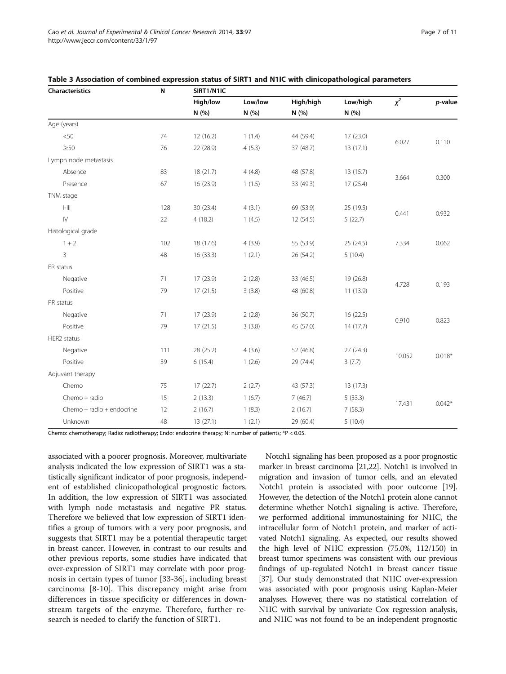| Characteristics                       | N   | SIRT1/N1IC |         |           |           |        |          |  |  |
|---------------------------------------|-----|------------|---------|-----------|-----------|--------|----------|--|--|
|                                       |     | High/low   | Low/low | High/high | Low/high  | $x^2$  | p-value  |  |  |
|                                       |     | N (%)      | N (%)   | N(%)      | N(%)      |        |          |  |  |
| Age (years)                           |     |            |         |           |           |        |          |  |  |
| < 50                                  | 74  | 12(16.2)   | 1(1.4)  | 44 (59.4) | 17 (23.0) | 6.027  | 0.110    |  |  |
| $\geq 50$                             | 76  | 22 (28.9)  | 4(5.3)  | 37 (48.7) | 13(17.1)  |        |          |  |  |
| Lymph node metastasis                 |     |            |         |           |           |        |          |  |  |
| Absence                               | 83  | 18(21.7)   | 4(4.8)  | 48 (57.8) | 13 (15.7) |        |          |  |  |
| Presence                              | 67  | 16 (23.9)  | 1(1.5)  | 33 (49.3) | 17(25.4)  | 3.664  | 0.300    |  |  |
| TNM stage                             |     |            |         |           |           |        |          |  |  |
| $\left\  - \right\  \left\  \right\ $ | 128 | 30 (23.4)  | 4(3.1)  | 69 (53.9) | 25 (19.5) |        | 0.932    |  |  |
| $\mathsf{IV}$                         | 22  | 4(18.2)    | 1(4.5)  | 12(54.5)  | 5(22.7)   | 0.441  |          |  |  |
| Histological grade                    |     |            |         |           |           |        |          |  |  |
| $1 + 2$                               | 102 | 18 (17.6)  | 4(3.9)  | 55 (53.9) | 25 (24.5) | 7.334  | 0.062    |  |  |
| 3                                     | 48  | 16(33.3)   | 1(2.1)  | 26 (54.2) | 5(10.4)   |        |          |  |  |
| ER status                             |     |            |         |           |           |        |          |  |  |
| Negative                              | 71  | 17(23.9)   | 2(2.8)  | 33 (46.5) | 19 (26.8) |        |          |  |  |
| Positive                              | 79  | 17(21.5)   | 3(3.8)  | 48 (60.8) | 11(13.9)  | 4.728  | 0.193    |  |  |
| PR status                             |     |            |         |           |           |        |          |  |  |
| Negative                              | 71  | 17(23.9)   | 2(2.8)  | 36 (50.7) | 16(22.5)  |        |          |  |  |
| Positive                              | 79  | 17(21.5)   | 3(3.8)  | 45 (57.0) | 14(17.7)  | 0.910  | 0.823    |  |  |
| HER2 status                           |     |            |         |           |           |        |          |  |  |
| Negative                              | 111 | 28 (25.2)  | 4(3.6)  | 52 (46.8) | 27(24.3)  |        |          |  |  |
| Positive                              | 39  | 6(15.4)    | 1(2.6)  | 29 (74.4) | 3(7.7)    | 10.052 | $0.018*$ |  |  |
| Adjuvant therapy                      |     |            |         |           |           |        |          |  |  |
| Chemo                                 | 75  | 17(22.7)   | 2(2.7)  | 43 (57.3) | 13 (17.3) |        |          |  |  |
| Chemo + radio                         | 15  | 2(13.3)    | 1(6.7)  | 7(46.7)   | 5(33.3)   |        |          |  |  |
| Chemo + radio + endocrine             | 12  | 2(16.7)    | 1(8.3)  | 2(16.7)   | 7(58.3)   | 17.431 | $0.042*$ |  |  |
| Unknown                               | 48  | 13(27.1)   | 1(2.1)  | 29 (60.4) | 5(10.4)   |        |          |  |  |
|                                       |     |            |         |           |           |        |          |  |  |

<span id="page-6-0"></span>

| Table 3 Association of combined expression status of SIRT1 and N1IC with clinicopathological parameters |  |  |  |
|---------------------------------------------------------------------------------------------------------|--|--|--|
|---------------------------------------------------------------------------------------------------------|--|--|--|

Chemo: chemotherapy; Radio: radiotherapy; Endo: endocrine therapy; N: number of patients; \*P < 0.05.

associated with a poorer prognosis. Moreover, multivariate analysis indicated the low expression of SIRT1 was a statistically significant indicator of poor prognosis, independent of established clinicopathological prognostic factors. In addition, the low expression of SIRT1 was associated with lymph node metastasis and negative PR status. Therefore we believed that low expression of SIRT1 identifies a group of tumors with a very poor prognosis, and suggests that SIRT1 may be a potential therapeutic target in breast cancer. However, in contrast to our results and other previous reports, some studies have indicated that over-expression of SIRT1 may correlate with poor prognosis in certain types of tumor [\[33](#page-10-0)-[36\]](#page-10-0), including breast carcinoma [[8-10](#page-9-0)]. This discrepancy might arise from differences in tissue specificity or differences in downstream targets of the enzyme. Therefore, further research is needed to clarify the function of SIRT1.

Notch1 signaling has been proposed as a poor prognostic marker in breast carcinoma [\[21,22](#page-10-0)]. Notch1 is involved in migration and invasion of tumor cells, and an elevated Notch1 protein is associated with poor outcome [[19](#page-10-0)]. However, the detection of the Notch1 protein alone cannot determine whether Notch1 signaling is active. Therefore, we performed additional immunostaining for N1IC, the intracellular form of Notch1 protein, and marker of activated Notch1 signaling. As expected, our results showed the high level of N1IC expression (75.0%, 112/150) in breast tumor specimens was consistent with our previous findings of up-regulated Notch1 in breast cancer tissue [[37](#page-10-0)]. Our study demonstrated that N1IC over-expression was associated with poor prognosis using Kaplan-Meier analyses. However, there was no statistical correlation of N1IC with survival by univariate Cox regression analysis, and N1IC was not found to be an independent prognostic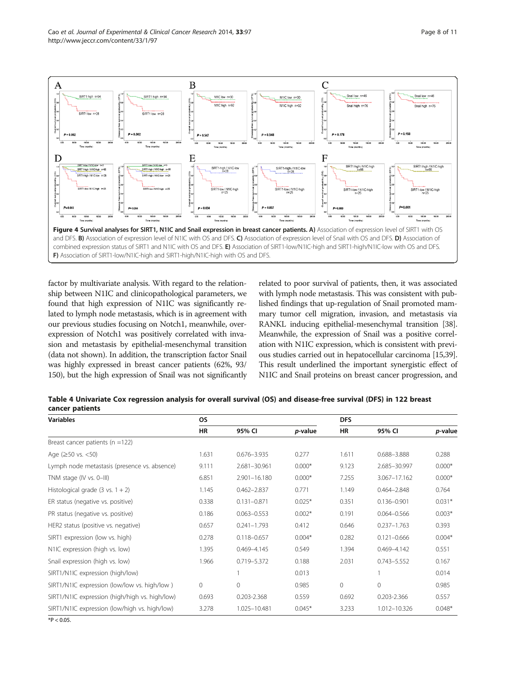<span id="page-7-0"></span>

factor by multivariate analysis. With regard to the relationship between N1IC and clinicopathological parameters, we found that high expression of N1IC was significantly related to lymph node metastasis, which is in agreement with our previous studies focusing on Notch1, meanwhile, overexpression of Notch1 was positively correlated with invasion and metastasis by epithelial-mesenchymal transition (data not shown). In addition, the transcription factor Snail was highly expressed in breast cancer patients (62%, 93/ 150), but the high expression of Snail was not significantly related to poor survival of patients, then, it was associated with lymph node metastasis. This was consistent with published findings that up-regulation of Snail promoted mammary tumor cell migration, invasion, and metastasis via RANKL inducing epithelial-mesenchymal transition [\[38](#page-10-0)]. Meanwhile, the expression of Snail was a positive correlation with N1IC expression, which is consistent with previous studies carried out in hepatocellular carcinoma [\[15,39](#page-10-0)]. This result underlined the important synergistic effect of N1IC and Snail proteins on breast cancer progression, and

| Table 4 Univariate Cox regression analysis for overall survival (OS) and disease-free survival (DFS) in 122 breast |  |  |
|--------------------------------------------------------------------------------------------------------------------|--|--|
| cancer patients                                                                                                    |  |  |

| <b>Variables</b>                               | <b>OS</b> |                  |          | <b>DFS</b>   |                 |          |  |
|------------------------------------------------|-----------|------------------|----------|--------------|-----------------|----------|--|
|                                                | HR        | 95% CI           | p-value  | HR           | 95% CI          | p-value  |  |
| Breast cancer patients ( $n = 122$ )           |           |                  |          |              |                 |          |  |
| Age $(\geq 50$ vs. $< 50)$                     | 1.631     | $0.676 - 3.935$  | 0.277    | 1.611        | 0.688-3.888     | 0.288    |  |
| Lymph node metastasis (presence vs. absence)   | 9.111     | 2.681-30.961     | $0.000*$ | 9.123        | 2.685-30.997    | $0.000*$ |  |
| TNM stage (IV vs. 0-III)                       | 6.851     | $2.901 - 16.180$ | $0.000*$ | 7.255        | 3.067-17.162    | $0.000*$ |  |
| Histological grade $(3 \text{ vs. } 1 + 2)$    | 1.145     | $0.462 - 2.837$  | 0.771    | 1.149        | $0.464 - 2.848$ | 0.764    |  |
| ER status (negative vs. positive)              | 0.338     | $0.131 - 0.871$  | $0.025*$ | 0.351        | $0.136 - 0.901$ | $0.031*$ |  |
| PR status (negative vs. positive)              | 0.186     | $0.063 - 0.553$  | $0.002*$ | 0.191        | $0.064 - 0.566$ | $0.003*$ |  |
| HER2 status (positive vs. negative)            | 0.657     | $0.241 - 1.793$  | 0.412    | 0.646        | $0.237 - 1.763$ | 0.393    |  |
| SIRT1 expression (low vs. high)                | 0.278     | $0.118 - 0.657$  | $0.004*$ | 0.282        | $0.121 - 0.666$ | $0.004*$ |  |
| N1IC expression (high vs. low)                 | 1.395     | $0.469 - 4.145$  | 0.549    | 1.394        | $0.469 - 4.142$ | 0.551    |  |
| Snail expression (high vs. low)                | 1.966     | 0.719-5.372      | 0.188    | 2.031        | $0.743 - 5.552$ | 0.167    |  |
| SIRT1/N1IC expression (high/low)               |           |                  | 0.013    |              |                 | 0.014    |  |
| SIRT1/N1IC expression (low/low vs. high/low)   | 0         | $\mathbf{0}$     | 0.985    | $\mathbf{0}$ | $\mathbf{0}$    | 0.985    |  |
| SIRT1/N1IC expression (high/high vs. high/low) | 0.693     | 0.203-2.368      | 0.559    | 0.692        | 0.203-2.366     | 0.557    |  |
| SIRT1/N1IC expression (low/high vs. high/low)  | 3.278     | 1.025-10.481     | $0.045*$ | 3.233        | 1.012-10.326    | $0.048*$ |  |

 $*P < 0.05$ .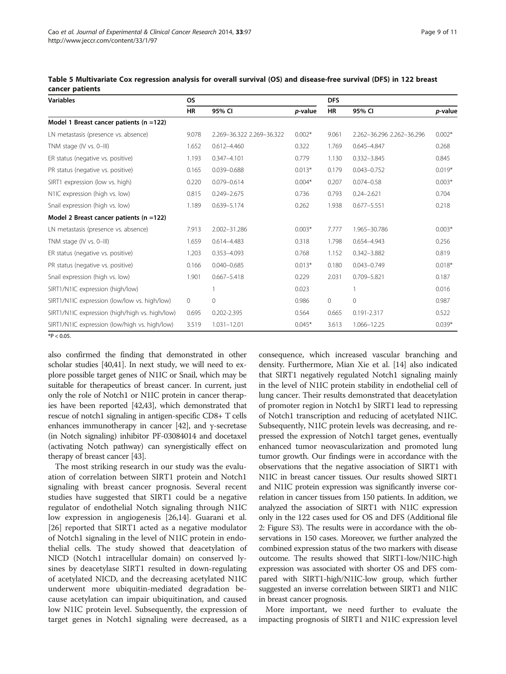| <b>Variables</b>                               | <b>OS</b> |                           |          |              | <b>DFS</b>                |          |  |  |
|------------------------------------------------|-----------|---------------------------|----------|--------------|---------------------------|----------|--|--|
|                                                | <b>HR</b> | 95% CI                    | p-value  | <b>HR</b>    | 95% CI                    | p-value  |  |  |
| Model 1 Breast cancer patients $(n = 122)$     |           |                           |          |              |                           |          |  |  |
| LN metastasis (presence vs. absence)           | 9.078     | 2.269-36.322 2.269-36.322 | $0.002*$ | 9.061        | 2.262-36.296 2.262-36.296 | $0.002*$ |  |  |
| TNM stage (IV vs. 0-III)                       | 1.652     | $0.612 - 4.460$           | 0.322    | 1.769        | $0.645 - 4.847$           | 0.268    |  |  |
| ER status (negative vs. positive)              | 1.193     | $0.347 - 4.101$           | 0.779    | 1.130        | $0.332 - 3.845$           | 0.845    |  |  |
| PR status (negative vs. positive)              | 0.165     | $0.039 - 0.688$           | $0.013*$ | 0.179        | $0.043 - 0.752$           | $0.019*$ |  |  |
| SIRT1 expression (low vs. high)                | 0.220     | $0.079 - 0.614$           | $0.004*$ | 0.207        | $0.074 - 0.58$            | $0.003*$ |  |  |
| N1IC expression (high vs. low)                 | 0.815     | $0.249 - 2.675$           | 0.736    | 0.793        | $0.24 - 2.621$            | 0.704    |  |  |
| Snail expression (high vs. low)                | 1.189     | 0.639-5.174               | 0.262    | 1.938        | $0.677 - 5.551$           | 0.218    |  |  |
| Model 2 Breast cancer patients ( $n = 122$ )   |           |                           |          |              |                           |          |  |  |
| LN metastasis (presence vs. absence)           | 7.913     | 2.002-31.286              | $0.003*$ | 7.777        | 1.965-30.786              | $0.003*$ |  |  |
| TNM stage (IV vs. 0-III)                       | 1.659     | $0.614 - 4.483$           | 0.318    | 1.798        | 0.654-4.943               | 0.256    |  |  |
| ER status (negative vs. positive)              | 1.203     | 0.353-4.093               | 0.768    | 1.152        | $0.342 - 3.882$           | 0.819    |  |  |
| PR status (negative vs. positive)              | 0.166     | $0.040 - 0.685$           | $0.013*$ | 0.180        | $0.043 - 0.749$           | $0.018*$ |  |  |
| Snail expression (high vs. low)                | 1.901     | $0.667 - 5.418$           | 0.229    | 2.031        | $0.709 - 5.821$           | 0.187    |  |  |
| SIRT1/N1IC expression (high/low)               |           |                           | 0.023    |              |                           | 0.016    |  |  |
| SIRT1/N1IC expression (low/low vs. high/low)   | $\circ$   | $\circ$                   | 0.986    | $\mathbf{0}$ | $\mathbf{0}$              | 0.987    |  |  |
| SIRT1/N1IC expression (high/high vs. high/low) | 0.695     | 0.202-2.395               | 0.564    | 0.665        | 0.191-2.317               | 0.522    |  |  |
| SIRT1/N1IC expression (low/high vs. high/low)  | 3.519     | 1.031-12.01               | $0.045*$ | 3.613        | 1.066-12.25               | $0.039*$ |  |  |

<span id="page-8-0"></span>Table 5 Multivariate Cox regression analysis for overall survival (OS) and disease-free survival (DFS) in 122 breast cancer patients

 $*P < 0.05$ 

also confirmed the finding that demonstrated in other scholar studies [\[40,41](#page-10-0)]. In next study, we will need to explore possible target genes of N1IC or Snail, which may be suitable for therapeutics of breast cancer. In current, just only the role of Notch1 or N1IC protein in cancer therapies have been reported [[42,43\]](#page-10-0), which demonstrated that rescue of notch1 signaling in antigen-specific CD8+ T cells enhances immunotherapy in cancer [[42](#page-10-0)], and γ-secretase (in Notch signaling) inhibitor PF-03084014 and docetaxel (activating Notch pathway) can synergistically effect on therapy of breast cancer [\[43\]](#page-10-0).

The most striking research in our study was the evaluation of correlation between SIRT1 protein and Notch1 signaling with breast cancer prognosis. Several recent studies have suggested that SIRT1 could be a negative regulator of endothelial Notch signaling through N1IC low expression in angiogenesis [[26,14\]](#page-10-0). Guarani et al. [[26\]](#page-10-0) reported that SIRT1 acted as a negative modulator of Notch1 signaling in the level of N1IC protein in endothelial cells. The study showed that deacetylation of NICD (Notch1 intracellular domain) on conserved lysines by deacetylase SIRT1 resulted in down-regulating of acetylated NICD, and the decreasing acetylated N1IC underwent more ubiquitin-mediated degradation because acetylation can impair ubiquitination, and caused low N1IC protein level. Subsequently, the expression of target genes in Notch1 signaling were decreased, as a

consequence, which increased vascular branching and density. Furthermore, Mian Xie et al. [[14](#page-10-0)] also indicated that SIRT1 negatively regulated Notch1 signaling mainly in the level of N1IC protein stability in endothelial cell of lung cancer. Their results demonstrated that deacetylation of promoter region in Notch1 by SIRT1 lead to repressing of Notch1 transcription and reducing of acetylated N1IC. Subsequently, N1IC protein levels was decreasing, and repressed the expression of Notch1 target genes, eventually enhanced tumor neovascularization and promoted lung tumor growth. Our findings were in accordance with the observations that the negative association of SIRT1 with N1IC in breast cancer tissues. Our results showed SIRT1 and N1IC protein expression was significantly inverse correlation in cancer tissues from 150 patients. In addition, we analyzed the association of SIRT1 with N1IC expression only in the 122 cases used for OS and DFS (Additional file [2](#page-9-0): Figure S3). The results were in accordance with the observations in 150 cases. Moreover, we further analyzed the combined expression status of the two markers with disease outcome. The results showed that SIRT1-low/N1IC-high expression was associated with shorter OS and DFS compared with SIRT1-high/N1IC-low group, which further suggested an inverse correlation between SIRT1 and N1IC in breast cancer prognosis.

More important, we need further to evaluate the impacting prognosis of SIRT1 and N1IC expression level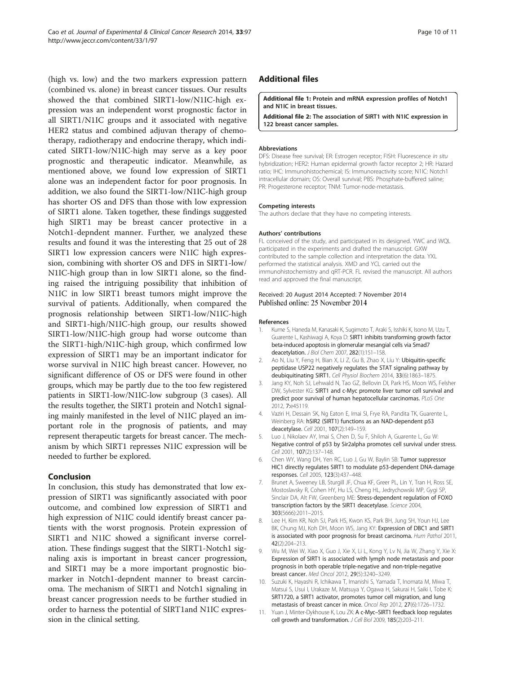<span id="page-9-0"></span>(high vs. low) and the two markers expression pattern (combined vs. alone) in breast cancer tissues. Our results showed the that combined SIRT1-low/N1IC-high expression was an independent worst prognostic factor in all SIRT1/N1IC groups and it associated with negative HER2 status and combined adjuvan therapy of chemotherapy, radiotherapy and endocrine therapy, which indicated SIRT1-low/N1IC-high may serve as a key poor prognostic and therapeutic indicator. Meanwhile, as mentioned above, we found low expression of SIRT1 alone was an independent factor for poor prognosis. In addition, we also found the SIRT1-low/N1IC-high group has shorter OS and DFS than those with low expression of SIRT1 alone. Taken together, these findings suggested high SIRT1 may be breast cancer protective in a Notch1-depndent manner. Further, we analyzed these results and found it was the interesting that 25 out of 28 SIRT1 low expression cancers were N1IC high expression, combining with shorter OS and DFS in SIRT1-low/ N1IC-high group than in low SIRT1 alone, so the finding raised the intriguing possibility that inhibition of N1IC in low SIRT1 breast tumors might improve the survival of patients. Additionally, when compared the prognosis relationship between SIRT1-low/N1IC-high and SIRT1-high/N1IC-high group, our results showed SIRT1-low/N1IC-high group had worse outcome than the SIRT1-high/N1IC-high group, which confirmed low expression of SIRT1 may be an important indicator for worse survival in N1IC high breast cancer. However, no significant difference of OS or DFS were found in other groups, which may be partly due to the too few registered patients in SIRT1-low/N1IC-low subgroup (3 cases). All the results together, the SIRT1 protein and Notch1 signal-

ing mainly manifested in the level of N1IC played an important role in the prognosis of patients, and may represent therapeutic targets for breast cancer. The mechanism by which SIRT1 represses N1IC expression will be needed to further be explored.

# Conclusion

In conclusion, this study has demonstrated that low expression of SIRT1 was significantly associated with poor outcome, and combined low expression of SIRT1 and high expression of N1IC could identify breast cancer patients with the worst prognosis. Protein expression of SIRT1 and N1IC showed a significant inverse correlation. These findings suggest that the SIRT1-Notch1 signaling axis is important in breast cancer progression, and SIRT1 may be a more important prognostic biomarker in Notch1-depndent manner to breast carcinoma. The mechanism of SIRT1 and Notch1 signaling in breast cancer progression needs to be further studied in order to harness the potential of SIRT1and N1IC expression in the clinical setting.

# Additional files

#### [Additional file 1:](http://www.jeccr.com/content/supplementary/s13046-014-0097-2-s1.doc) Protein and mRNA expression profiles of Notch1 and N1IC in breast tissues.

[Additional file 2:](http://www.jeccr.com/content/supplementary/s13046-014-0097-2-s2.doc) The association of SIRT1 with N1IC expression in 122 breast cancer samples.

#### Abbreviations

DFS: Disease free survival; ER: Estrogen receptor; FISH: Fluorescence in situ hybridization; HER2: Human epidermal growth factor receptor 2; HR: Hazard ratio; IHC: Immunohistochemical; IS: Immunoreactivity score; N1IC: Notch1 intracellular domain; OS: Overall survival; PBS: Phosphate-buffered saline; PR: Progesterone receptor; TNM: Tumor-node-metastasis.

#### Competing interests

The authors declare that they have no competing interests.

#### Authors' contributions

FL conceived of the study, and participated in its designed. YWC and WOI participated in the experiments and drafted the manuscript. GXW contributed to the sample collection and interpretation the data. YXL performed the statistical analysis. XMD and YCL carried out the immunohistochemistry and qRT-PCR. FL revised the manuscript. All authors read and approved the final manuscript.

#### Received: 20 August 2014 Accepted: 7 November 2014 Published online: 25 November 2014

#### References

- 1. Kume S, Haneda M, Kanasaki K, Sugimoto T, Araki S, Isshiki K, Isono M, Uzu T, Guarente L, Kashiwagi A, Koya D: SIRT1 inhibits transforming growth factor beta-induced apoptosis in glomerular mesangial cells via Smad7 deacetylation. J Biol Chem 2007, 282(1):151–158.
- 2. Ao N, Liu Y, Feng H, Bian X, Li Z, Gu B, Zhao X, Liu Y: Ubiquitin-specific peptidase USP22 negatively regulates the STAT signaling pathway by deubiquitinating SIRT1. Cell Physiol Biochem 2014, 33(6):1863–1875.
- 3. Jang KY, Noh SJ, Lehwald N, Tao GZ, Bellovin DI, Park HS, Moon WS, Felsher DW, Sylvester KG: SIRT1 and c-Myc promote liver tumor cell survival and predict poor survival of human hepatocellular carcinomas. PLoS One 2012, 7:e45119.
- 4. Vaziri H, Dessain SK, Ng Eaton E, Imai SI, Frye RA, Pandita TK, Guarente L, Weinberg RA: hSIR2 (SIRT1) functions as an NAD-dependent p53 deacetylase. Cell 2001, 107(2):149–159.
- 5. Luo J, Nikolaev AY, Imai S, Chen D, Su F, Shiloh A, Guarente L, Gu W: Negative control of p53 by Sir2alpha promotes cell survival under stress. Cell 2001, 107(2):137–148.
- 6. Chen WY, Wang DH, Yen RC, Luo J, Gu W, Baylin SB: Tumor suppressor HIC1 directly regulates SIRT1 to modulate p53-dependent DNA-damage responses. Cell 2005, 123(3):437–448.
- 7. Brunet A, Sweeney LB, Sturgill JF, Chua KF, Greer PL, Lin Y, Tran H, Ross SE, Mostoslavsky R, Cohen HY, Hu LS, Cheng HL, Jedrychowski MP, Gygi SP, Sinclair DA, Alt FW, Greenberg ME: Stress-dependent regulation of FOXO transcription factors by the SIRT1 deacetylase. Science 2004, 303(5666):2011–2015.
- 8. Lee H, Kim KR, Noh SJ, Park HS, Kwon KS, Park BH, Jung SH, Youn HJ, Lee BK, Chung MJ, Koh DH, Moon WS, Jang KY: Expression of DBC1 and SIRT1 is associated with poor prognosis for breast carcinoma. Hum Pathol 2011, 42(2):204–213.
- 9. Wu M, Wei W, Xiao X, Guo J, Xie X, Li L, Kong Y, Lv N, Jia W, Zhang Y, Xie X: Expression of SIRT1 is associated with lymph node metastasis and poor prognosis in both operable triple-negative and non-triple-negative breast cancer. Med Oncol 2012, 29(5):3240–3249.
- 10. Suzuki K, Hayashi R, Ichikawa T, Imanishi S, Yamada T, Inomata M, Miwa T, Matsui S, Usui I, Urakaze M, Matsuya Y, Ogawa H, Sakurai H, Saiki I, Tobe K: SRT1720, a SIRT1 activator, promotes tumor cell migration, and lung metastasis of breast cancer in mice. Oncol Rep 2012, 27(6):1726–1732.
- 11. Yuan J, Minter-Dykhouse K, Lou ZK: A c-Myc-SIRT1 feedback loop regulates cell growth and transformation. J Cell Biol 2009, 185(2):203-211.